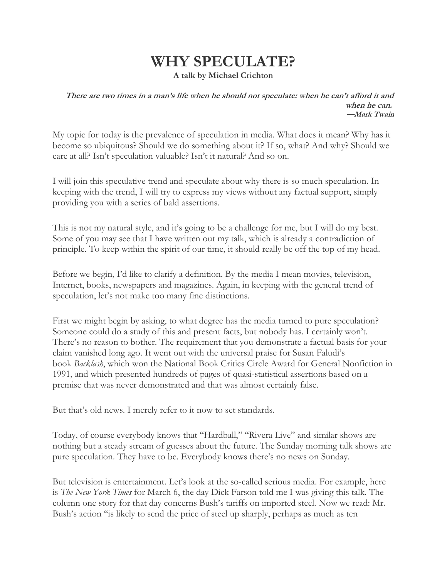## WHY SPECULATE?

A talk by Michael Crichton

## There are two times in a man's life when he should not speculate: when he can't afford it and when he can. —Mark Twain

My topic for today is the prevalence of speculation in media. What does it mean? Why has it become so ubiquitous? Should we do something about it? If so, what? And why? Should we care at all? Isn't speculation valuable? Isn't it natural? And so on.

I will join this speculative trend and speculate about why there is so much speculation. In keeping with the trend, I will try to express my views without any factual support, simply providing you with a series of bald assertions.

This is not my natural style, and it's going to be a challenge for me, but I will do my best. Some of you may see that I have written out my talk, which is already a contradiction of principle. To keep within the spirit of our time, it should really be off the top of my head.

Before we begin, I'd like to clarify a definition. By the media I mean movies, television, Internet, books, newspapers and magazines. Again, in keeping with the general trend of speculation, let's not make too many fine distinctions.

First we might begin by asking, to what degree has the media turned to pure speculation? Someone could do a study of this and present facts, but nobody has. I certainly won't. There's no reason to bother. The requirement that you demonstrate a factual basis for your claim vanished long ago. It went out with the universal praise for Susan Faludi's book Backlash, which won the National Book Critics Circle Award for General Nonfiction in 1991, and which presented hundreds of pages of quasi-statistical assertions based on a premise that was never demonstrated and that was almost certainly false.

But that's old news. I merely refer to it now to set standards.

Today, of course everybody knows that "Hardball," "Rivera Live" and similar shows are nothing but a steady stream of guesses about the future. The Sunday morning talk shows are pure speculation. They have to be. Everybody knows there's no news on Sunday.

But television is entertainment. Let's look at the so-called serious media. For example, here is The New York Times for March 6, the day Dick Farson told me I was giving this talk. The column one story for that day concerns Bush's tariffs on imported steel. Now we read: Mr. Bush's action "is likely to send the price of steel up sharply, perhaps as much as ten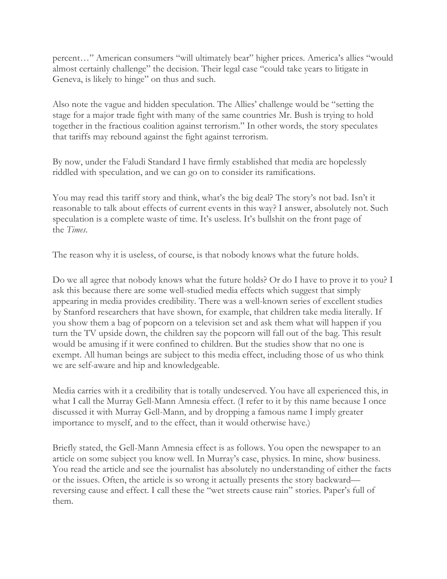percent…" American consumers "will ultimately bear" higher prices. America's allies "would almost certainly challenge" the decision. Their legal case "could take years to litigate in Geneva, is likely to hinge" on thus and such.

Also note the vague and hidden speculation. The Allies' challenge would be "setting the stage for a major trade fight with many of the same countries Mr. Bush is trying to hold together in the fractious coalition against terrorism." In other words, the story speculates that tariffs may rebound against the fight against terrorism.

By now, under the Faludi Standard I have firmly established that media are hopelessly riddled with speculation, and we can go on to consider its ramifications.

You may read this tariff story and think, what's the big deal? The story's not bad. Isn't it reasonable to talk about effects of current events in this way? I answer, absolutely not. Such speculation is a complete waste of time. It's useless. It's bullshit on the front page of the Times.

The reason why it is useless, of course, is that nobody knows what the future holds.

Do we all agree that nobody knows what the future holds? Or do I have to prove it to you? I ask this because there are some well-studied media effects which suggest that simply appearing in media provides credibility. There was a well-known series of excellent studies by Stanford researchers that have shown, for example, that children take media literally. If you show them a bag of popcorn on a television set and ask them what will happen if you turn the TV upside down, the children say the popcorn will fall out of the bag. This result would be amusing if it were confined to children. But the studies show that no one is exempt. All human beings are subject to this media effect, including those of us who think we are self-aware and hip and knowledgeable.

Media carries with it a credibility that is totally undeserved. You have all experienced this, in what I call the Murray Gell-Mann Amnesia effect. (I refer to it by this name because I once discussed it with Murray Gell-Mann, and by dropping a famous name I imply greater importance to myself, and to the effect, than it would otherwise have.)

Briefly stated, the Gell-Mann Amnesia effect is as follows. You open the newspaper to an article on some subject you know well. In Murray's case, physics. In mine, show business. You read the article and see the journalist has absolutely no understanding of either the facts or the issues. Often, the article is so wrong it actually presents the story backward reversing cause and effect. I call these the "wet streets cause rain" stories. Paper's full of them.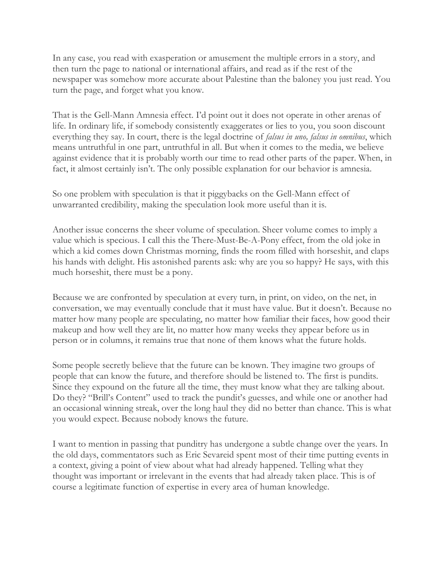In any case, you read with exasperation or amusement the multiple errors in a story, and then turn the page to national or international affairs, and read as if the rest of the newspaper was somehow more accurate about Palestine than the baloney you just read. You turn the page, and forget what you know.

That is the Gell-Mann Amnesia effect. I'd point out it does not operate in other arenas of life. In ordinary life, if somebody consistently exaggerates or lies to you, you soon discount everything they say. In court, there is the legal doctrine of *falsus in uno, falsus in omnibus*, which means untruthful in one part, untruthful in all. But when it comes to the media, we believe against evidence that it is probably worth our time to read other parts of the paper. When, in fact, it almost certainly isn't. The only possible explanation for our behavior is amnesia.

So one problem with speculation is that it piggybacks on the Gell-Mann effect of unwarranted credibility, making the speculation look more useful than it is.

Another issue concerns the sheer volume of speculation. Sheer volume comes to imply a value which is specious. I call this the There-Must-Be-A-Pony effect, from the old joke in which a kid comes down Christmas morning, finds the room filled with horseshit, and claps his hands with delight. His astonished parents ask: why are you so happy? He says, with this much horseshit, there must be a pony.

Because we are confronted by speculation at every turn, in print, on video, on the net, in conversation, we may eventually conclude that it must have value. But it doesn't. Because no matter how many people are speculating, no matter how familiar their faces, how good their makeup and how well they are lit, no matter how many weeks they appear before us in person or in columns, it remains true that none of them knows what the future holds.

Some people secretly believe that the future can be known. They imagine two groups of people that can know the future, and therefore should be listened to. The first is pundits. Since they expound on the future all the time, they must know what they are talking about. Do they? "Brill's Content" used to track the pundit's guesses, and while one or another had an occasional winning streak, over the long haul they did no better than chance. This is what you would expect. Because nobody knows the future.

I want to mention in passing that punditry has undergone a subtle change over the years. In the old days, commentators such as Eric Sevareid spent most of their time putting events in a context, giving a point of view about what had already happened. Telling what they thought was important or irrelevant in the events that had already taken place. This is of course a legitimate function of expertise in every area of human knowledge.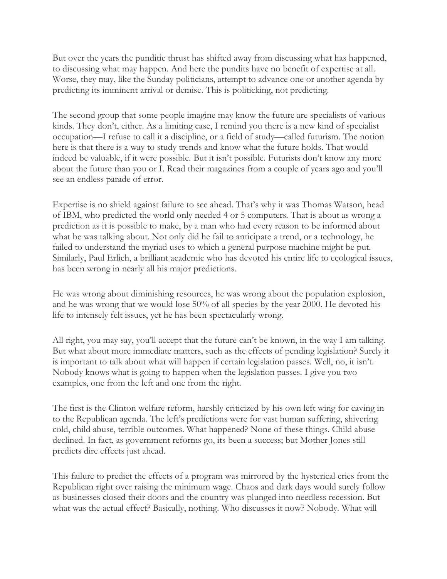But over the years the punditic thrust has shifted away from discussing what has happened, to discussing what may happen. And here the pundits have no benefit of expertise at all. Worse, they may, like the Sunday politicians, attempt to advance one or another agenda by predicting its imminent arrival or demise. This is politicking, not predicting.

The second group that some people imagine may know the future are specialists of various kinds. They don't, either. As a limiting case, I remind you there is a new kind of specialist occupation—I refuse to call it a discipline, or a field of study—called futurism. The notion here is that there is a way to study trends and know what the future holds. That would indeed be valuable, if it were possible. But it isn't possible. Futurists don't know any more about the future than you or I. Read their magazines from a couple of years ago and you'll see an endless parade of error.

Expertise is no shield against failure to see ahead. That's why it was Thomas Watson, head of IBM, who predicted the world only needed 4 or 5 computers. That is about as wrong a prediction as it is possible to make, by a man who had every reason to be informed about what he was talking about. Not only did he fail to anticipate a trend, or a technology, he failed to understand the myriad uses to which a general purpose machine might be put. Similarly, Paul Erlich, a brilliant academic who has devoted his entire life to ecological issues, has been wrong in nearly all his major predictions.

He was wrong about diminishing resources, he was wrong about the population explosion, and he was wrong that we would lose 50% of all species by the year 2000. He devoted his life to intensely felt issues, yet he has been spectacularly wrong.

All right, you may say, you'll accept that the future can't be known, in the way I am talking. But what about more immediate matters, such as the effects of pending legislation? Surely it is important to talk about what will happen if certain legislation passes. Well, no, it isn't. Nobody knows what is going to happen when the legislation passes. I give you two examples, one from the left and one from the right.

The first is the Clinton welfare reform, harshly criticized by his own left wing for caving in to the Republican agenda. The left's predictions were for vast human suffering, shivering cold, child abuse, terrible outcomes. What happened? None of these things. Child abuse declined. In fact, as government reforms go, its been a success; but Mother Jones still predicts dire effects just ahead.

This failure to predict the effects of a program was mirrored by the hysterical cries from the Republican right over raising the minimum wage. Chaos and dark days would surely follow as businesses closed their doors and the country was plunged into needless recession. But what was the actual effect? Basically, nothing. Who discusses it now? Nobody. What will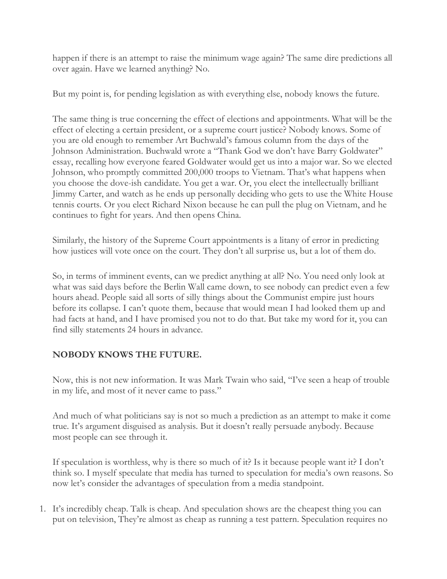happen if there is an attempt to raise the minimum wage again? The same dire predictions all over again. Have we learned anything? No.

But my point is, for pending legislation as with everything else, nobody knows the future.

The same thing is true concerning the effect of elections and appointments. What will be the effect of electing a certain president, or a supreme court justice? Nobody knows. Some of you are old enough to remember Art Buchwald's famous column from the days of the Johnson Administration. Buchwald wrote a "Thank God we don't have Barry Goldwater" essay, recalling how everyone feared Goldwater would get us into a major war. So we elected Johnson, who promptly committed 200,000 troops to Vietnam. That's what happens when you choose the dove-ish candidate. You get a war. Or, you elect the intellectually brilliant Jimmy Carter, and watch as he ends up personally deciding who gets to use the White House tennis courts. Or you elect Richard Nixon because he can pull the plug on Vietnam, and he continues to fight for years. And then opens China.

Similarly, the history of the Supreme Court appointments is a litany of error in predicting how justices will vote once on the court. They don't all surprise us, but a lot of them do.

So, in terms of imminent events, can we predict anything at all? No. You need only look at what was said days before the Berlin Wall came down, to see nobody can predict even a few hours ahead. People said all sorts of silly things about the Communist empire just hours before its collapse. I can't quote them, because that would mean I had looked them up and had facts at hand, and I have promised you not to do that. But take my word for it, you can find silly statements 24 hours in advance.

## NOBODY KNOWS THE FUTURE.

Now, this is not new information. It was Mark Twain who said, "I've seen a heap of trouble in my life, and most of it never came to pass."

And much of what politicians say is not so much a prediction as an attempt to make it come true. It's argument disguised as analysis. But it doesn't really persuade anybody. Because most people can see through it.

If speculation is worthless, why is there so much of it? Is it because people want it? I don't think so. I myself speculate that media has turned to speculation for media's own reasons. So now let's consider the advantages of speculation from a media standpoint.

1. It's incredibly cheap. Talk is cheap. And speculation shows are the cheapest thing you can put on television, They're almost as cheap as running a test pattern. Speculation requires no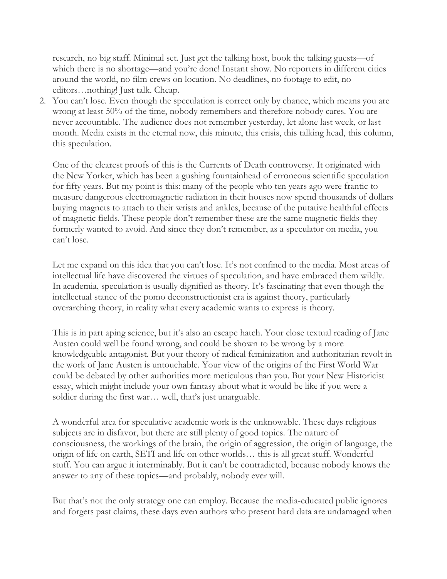research, no big staff. Minimal set. Just get the talking host, book the talking guests—of which there is no shortage—and you're done! Instant show. No reporters in different cities around the world, no film crews on location. No deadlines, no footage to edit, no editors…nothing! Just talk. Cheap.

2. You can't lose. Even though the speculation is correct only by chance, which means you are wrong at least 50% of the time, nobody remembers and therefore nobody cares. You are never accountable. The audience does not remember yesterday, let alone last week, or last month. Media exists in the eternal now, this minute, this crisis, this talking head, this column, this speculation.

One of the clearest proofs of this is the Currents of Death controversy. It originated with the New Yorker, which has been a gushing fountainhead of erroneous scientific speculation for fifty years. But my point is this: many of the people who ten years ago were frantic to measure dangerous electromagnetic radiation in their houses now spend thousands of dollars buying magnets to attach to their wrists and ankles, because of the putative healthful effects of magnetic fields. These people don't remember these are the same magnetic fields they formerly wanted to avoid. And since they don't remember, as a speculator on media, you can't lose.

Let me expand on this idea that you can't lose. It's not confined to the media. Most areas of intellectual life have discovered the virtues of speculation, and have embraced them wildly. In academia, speculation is usually dignified as theory. It's fascinating that even though the intellectual stance of the pomo deconstructionist era is against theory, particularly overarching theory, in reality what every academic wants to express is theory.

This is in part aping science, but it's also an escape hatch. Your close textual reading of Jane Austen could well be found wrong, and could be shown to be wrong by a more knowledgeable antagonist. But your theory of radical feminization and authoritarian revolt in the work of Jane Austen is untouchable. Your view of the origins of the First World War could be debated by other authorities more meticulous than you. But your New Historicist essay, which might include your own fantasy about what it would be like if you were a soldier during the first war… well, that's just unarguable.

A wonderful area for speculative academic work is the unknowable. These days religious subjects are in disfavor, but there are still plenty of good topics. The nature of consciousness, the workings of the brain, the origin of aggression, the origin of language, the origin of life on earth, SETI and life on other worlds… this is all great stuff. Wonderful stuff. You can argue it interminably. But it can't be contradicted, because nobody knows the answer to any of these topics—and probably, nobody ever will.

But that's not the only strategy one can employ. Because the media-educated public ignores and forgets past claims, these days even authors who present hard data are undamaged when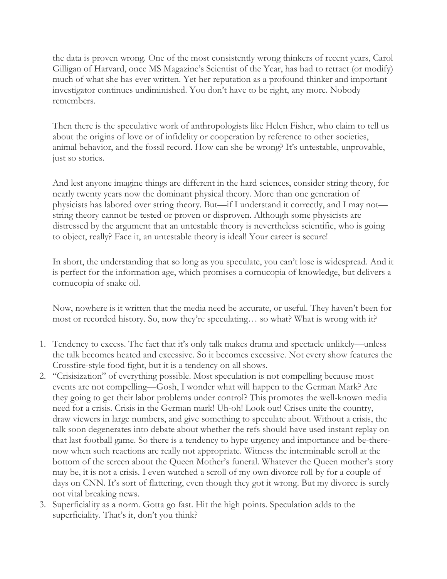the data is proven wrong. One of the most consistently wrong thinkers of recent years, Carol Gilligan of Harvard, once MS Magazine's Scientist of the Year, has had to retract (or modify) much of what she has ever written. Yet her reputation as a profound thinker and important investigator continues undiminished. You don't have to be right, any more. Nobody remembers.

Then there is the speculative work of anthropologists like Helen Fisher, who claim to tell us about the origins of love or of infidelity or cooperation by reference to other societies, animal behavior, and the fossil record. How can she be wrong? It's untestable, unprovable, just so stories.

And lest anyone imagine things are different in the hard sciences, consider string theory, for nearly twenty years now the dominant physical theory. More than one generation of physicists has labored over string theory. But—if I understand it correctly, and I may not string theory cannot be tested or proven or disproven. Although some physicists are distressed by the argument that an untestable theory is nevertheless scientific, who is going to object, really? Face it, an untestable theory is ideal! Your career is secure!

In short, the understanding that so long as you speculate, you can't lose is widespread. And it is perfect for the information age, which promises a cornucopia of knowledge, but delivers a cornucopia of snake oil.

Now, nowhere is it written that the media need be accurate, or useful. They haven't been for most or recorded history. So, now they're speculating… so what? What is wrong with it?

- 1. Tendency to excess. The fact that it's only talk makes drama and spectacle unlikely—unless the talk becomes heated and excessive. So it becomes excessive. Not every show features the Crossfire-style food fight, but it is a tendency on all shows.
- 2. "Crisisization" of everything possible. Most speculation is not compelling because most events are not compelling—Gosh, I wonder what will happen to the German Mark? Are they going to get their labor problems under control? This promotes the well-known media need for a crisis. Crisis in the German mark! Uh-oh! Look out! Crises unite the country, draw viewers in large numbers, and give something to speculate about. Without a crisis, the talk soon degenerates into debate about whether the refs should have used instant replay on that last football game. So there is a tendency to hype urgency and importance and be-therenow when such reactions are really not appropriate. Witness the interminable scroll at the bottom of the screen about the Queen Mother's funeral. Whatever the Queen mother's story may be, it is not a crisis. I even watched a scroll of my own divorce roll by for a couple of days on CNN. It's sort of flattering, even though they got it wrong. But my divorce is surely not vital breaking news.
- 3. Superficiality as a norm. Gotta go fast. Hit the high points. Speculation adds to the superficiality. That's it, don't you think?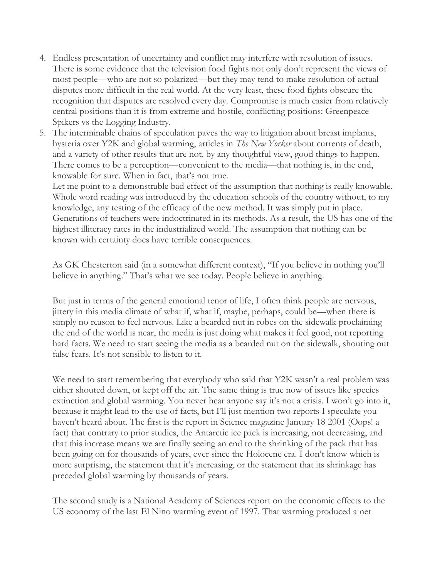- 4. Endless presentation of uncertainty and conflict may interfere with resolution of issues. There is some evidence that the television food fights not only don't represent the views of most people—who are not so polarized—but they may tend to make resolution of actual disputes more difficult in the real world. At the very least, these food fights obscure the recognition that disputes are resolved every day. Compromise is much easier from relatively central positions than it is from extreme and hostile, conflicting positions: Greenpeace Spikers vs the Logging Industry.
- 5. The interminable chains of speculation paves the way to litigation about breast implants, hysteria over Y2K and global warming, articles in The New Yorker about currents of death, and a variety of other results that are not, by any thoughtful view, good things to happen. There comes to be a perception—convenient to the media—that nothing is, in the end, knowable for sure. When in fact, that's not true.

Let me point to a demonstrable bad effect of the assumption that nothing is really knowable. Whole word reading was introduced by the education schools of the country without, to my knowledge, any testing of the efficacy of the new method. It was simply put in place. Generations of teachers were indoctrinated in its methods. As a result, the US has one of the highest illiteracy rates in the industrialized world. The assumption that nothing can be known with certainty does have terrible consequences.

As GK Chesterton said (in a somewhat different context), "If you believe in nothing you'll believe in anything." That's what we see today. People believe in anything.

But just in terms of the general emotional tenor of life, I often think people are nervous, jittery in this media climate of what if, what if, maybe, perhaps, could be—when there is simply no reason to feel nervous. Like a bearded nut in robes on the sidewalk proclaiming the end of the world is near, the media is just doing what makes it feel good, not reporting hard facts. We need to start seeing the media as a bearded nut on the sidewalk, shouting out false fears. It's not sensible to listen to it.

We need to start remembering that everybody who said that Y2K wasn't a real problem was either shouted down, or kept off the air. The same thing is true now of issues like species extinction and global warming. You never hear anyone say it's not a crisis. I won't go into it, because it might lead to the use of facts, but I'll just mention two reports I speculate you haven't heard about. The first is the report in Science magazine January 18 2001 (Oops! a fact) that contrary to prior studies, the Antarctic ice pack is increasing, not decreasing, and that this increase means we are finally seeing an end to the shrinking of the pack that has been going on for thousands of years, ever since the Holocene era. I don't know which is more surprising, the statement that it's increasing, or the statement that its shrinkage has preceded global warming by thousands of years.

The second study is a National Academy of Sciences report on the economic effects to the US economy of the last El Nino warming event of 1997. That warming produced a net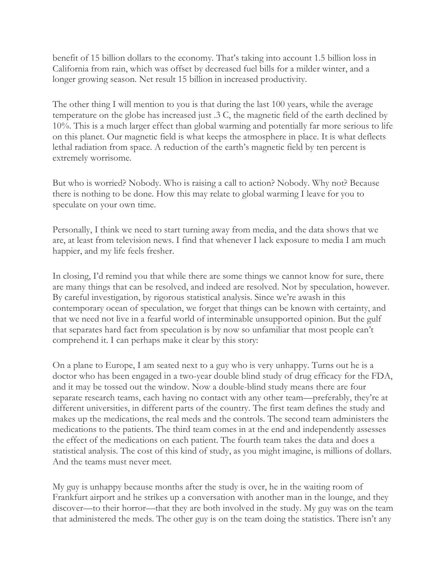benefit of 15 billion dollars to the economy. That's taking into account 1.5 billion loss in California from rain, which was offset by decreased fuel bills for a milder winter, and a longer growing season. Net result 15 billion in increased productivity.

The other thing I will mention to you is that during the last 100 years, while the average temperature on the globe has increased just .3 C, the magnetic field of the earth declined by 10%. This is a much larger effect than global warming and potentially far more serious to life on this planet. Our magnetic field is what keeps the atmosphere in place. It is what deflects lethal radiation from space. A reduction of the earth's magnetic field by ten percent is extremely worrisome.

But who is worried? Nobody. Who is raising a call to action? Nobody. Why not? Because there is nothing to be done. How this may relate to global warming I leave for you to speculate on your own time.

Personally, I think we need to start turning away from media, and the data shows that we are, at least from television news. I find that whenever I lack exposure to media I am much happier, and my life feels fresher.

In closing, I'd remind you that while there are some things we cannot know for sure, there are many things that can be resolved, and indeed are resolved. Not by speculation, however. By careful investigation, by rigorous statistical analysis. Since we're awash in this contemporary ocean of speculation, we forget that things can be known with certainty, and that we need not live in a fearful world of interminable unsupported opinion. But the gulf that separates hard fact from speculation is by now so unfamiliar that most people can't comprehend it. I can perhaps make it clear by this story:

On a plane to Europe, I am seated next to a guy who is very unhappy. Turns out he is a doctor who has been engaged in a two-year double blind study of drug efficacy for the FDA, and it may be tossed out the window. Now a double-blind study means there are four separate research teams, each having no contact with any other team—preferably, they're at different universities, in different parts of the country. The first team defines the study and makes up the medications, the real meds and the controls. The second team administers the medications to the patients. The third team comes in at the end and independently assesses the effect of the medications on each patient. The fourth team takes the data and does a statistical analysis. The cost of this kind of study, as you might imagine, is millions of dollars. And the teams must never meet.

My guy is unhappy because months after the study is over, he in the waiting room of Frankfurt airport and he strikes up a conversation with another man in the lounge, and they discover—to their horror—that they are both involved in the study. My guy was on the team that administered the meds. The other guy is on the team doing the statistics. There isn't any